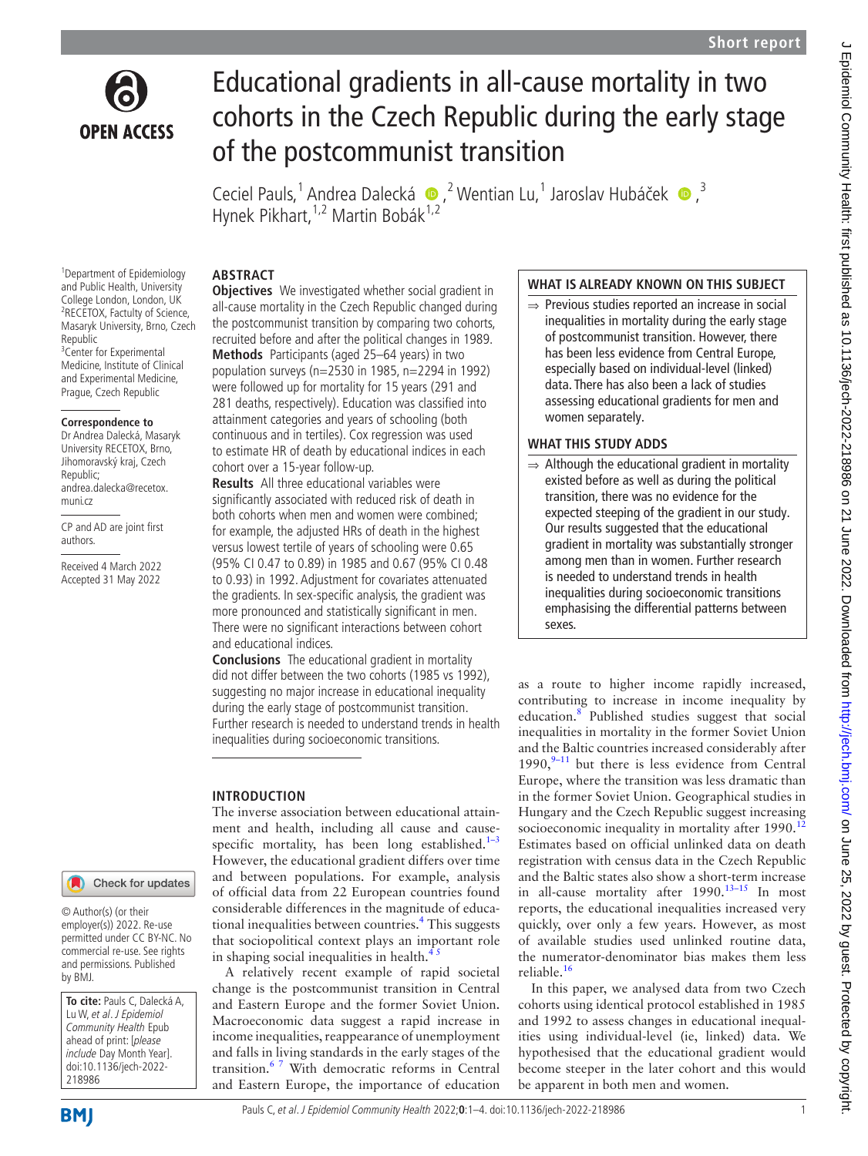

# Educational gradients in all-cause mortality in two cohorts in the Czech Republic during the early stage of the postcommunist transition

CecielPauls,<sup>1</sup> Andrea Dalecká  $\bullet$ ,<sup>2</sup> Wentian Lu,<sup>1</sup> Jaroslav Hubáček  $\bullet$ ,<sup>3</sup> Hynek Pikhart, <sup>1,2</sup> Martin Bobák<sup>1,2</sup>

#### **ABSTRACT Objectives** We investigated whether social gradient in

cohort over a 15-year follow-up.

and educational indices.

**INTRODUCTION**

**Results** All three educational variables were significantly associated with reduced risk of death in both cohorts when men and women were combined; for example, the adjusted HRs of death in the highest versus lowest tertile of years of schooling were 0.65 (95% CI 0.47 to 0.89) in 1985 and 0.67 (95% CI 0.48 to 0.93) in 1992. Adjustment for covariates attenuated the gradients. In sex-specific analysis, the gradient was more pronounced and statistically significant in men. There were no significant interactions between cohort

**Conclusions** The educational gradient in mortality did not differ between the two cohorts (1985 vs 1992), suggesting no major increase in educational inequality during the early stage of postcommunist transition. Further research is needed to understand trends in health

The inverse association between educational attainment and health, including all cause and causespecific mortality, has been long established. $1-3$ However, the educational gradient differs over time and between populations. For example, analysis of official data from 22 European countries found considerable differences in the magnitude of educa-tional inequalities between countries.<sup>[4](#page-3-1)</sup> This suggests that sociopolitical context plays an important role

A relatively recent example of rapid societal change is the postcommunist transition in Central and Eastern Europe and the former Soviet Union. Macroeconomic data suggest a rapid increase in income inequalities, reappearance of unemployment and falls in living standards in the early stages of the transition.[6 7](#page-3-2) With democratic reforms in Central and Eastern Europe, the importance of education

inequalities during socioeconomic transitions.

in shaping social inequalities in health. $4$ 

all-cause mortality in the Czech Republic changed during the postcommunist transition by comparing two cohorts, recruited before and after the political changes in 1989. **Methods** Participants (aged 25–64 years) in two population surveys (n=2530 in 1985, n=2294 in 1992) were followed up for mortality for 15 years (291 and 281 deaths, respectively). Education was classified into attainment categories and years of schooling (both continuous and in tertiles). Cox regression was used to estimate HR of death by educational indices in each

1 Department of Epidemiology and Public Health, University College London, London, UK 2 RECETOX, Factulty of Science, Masaryk University, Brno, Czech Republic <sup>3</sup> Center for Experimental Medicine, Institute of Clinical and Experimental Medicine, Prague, Czech Republic

#### **Correspondence to**

Dr Andrea Dalecká, Masaryk University RECETOX, Brno, Jihomoravský kraj, Czech Republic; andrea.dalecka@recetox. muni.cz

CP and AD are joint first authors.

Received 4 March 2022 Accepted 31 May 2022

#### Check for updates

© Author(s) (or their employer(s)) 2022. Re-use permitted under CC BY-NC. No commercial re-use. See rights and permissions. Published by BMJ.

**To cite:** Pauls C, Dalecká A, Lu W, et al. J Epidemiol Community Health Epub ahead of print: [please include Day Month Year]. doi:10.1136/jech-2022- 218986

# Pauls C, et al. J Epidemiol Community Health 2022;**0**:1–4. doi:10.1136/jech-2022-218986 1

### **WHAT IS ALREADY KNOWN ON THIS SUBJECT**

⇒ Previous studies reported an increase in social inequalities in mortality during the early stage of postcommunist transition. However, there has been less evidence from Central Europe, especially based on individual-level (linked) data. There has also been a lack of studies assessing educational gradients for men and women separately.

### **WHAT THIS STUDY ADDS**

 $\Rightarrow$  Although the educational gradient in mortality existed before as well as during the political transition, there was no evidence for the expected steeping of the gradient in our study. Our results suggested that the educational gradient in mortality was substantially stronger among men than in women. Further research is needed to understand trends in health inequalities during socioeconomic transitions emphasising the differential patterns between sexes.

as a route to higher income rapidly increased, contributing to increase in income inequality by education.<sup>[8](#page-3-3)</sup> Published studies suggest that social inequalities in mortality in the former Soviet Union and the Baltic countries increased considerably after 1990, $9-11$  but there is less evidence from Central Europe, where the transition was less dramatic than in the former Soviet Union. Geographical studies in Hungary and the Czech Republic suggest increasing socioeconomic inequality in mortality after 1990.<sup>[12](#page-3-5)</sup> Estimates based on official unlinked data on death registration with census data in the Czech Republic and the Baltic states also show a short-term increase in all-cause mortality after  $1990.^{13-15}$  In most reports, the educational inequalities increased very quickly, over only a few years. However, as most of available studies used unlinked routine data, the numerator-denominator bias makes them less reliable.[16](#page-3-7)

In this paper, we analysed data from two Czech cohorts using identical protocol established in 1985 and 1992 to assess changes in educational inequalities using individual-level (ie, linked) data. We hypothesised that the educational gradient would become steeper in the later cohort and this would be apparent in both men and women.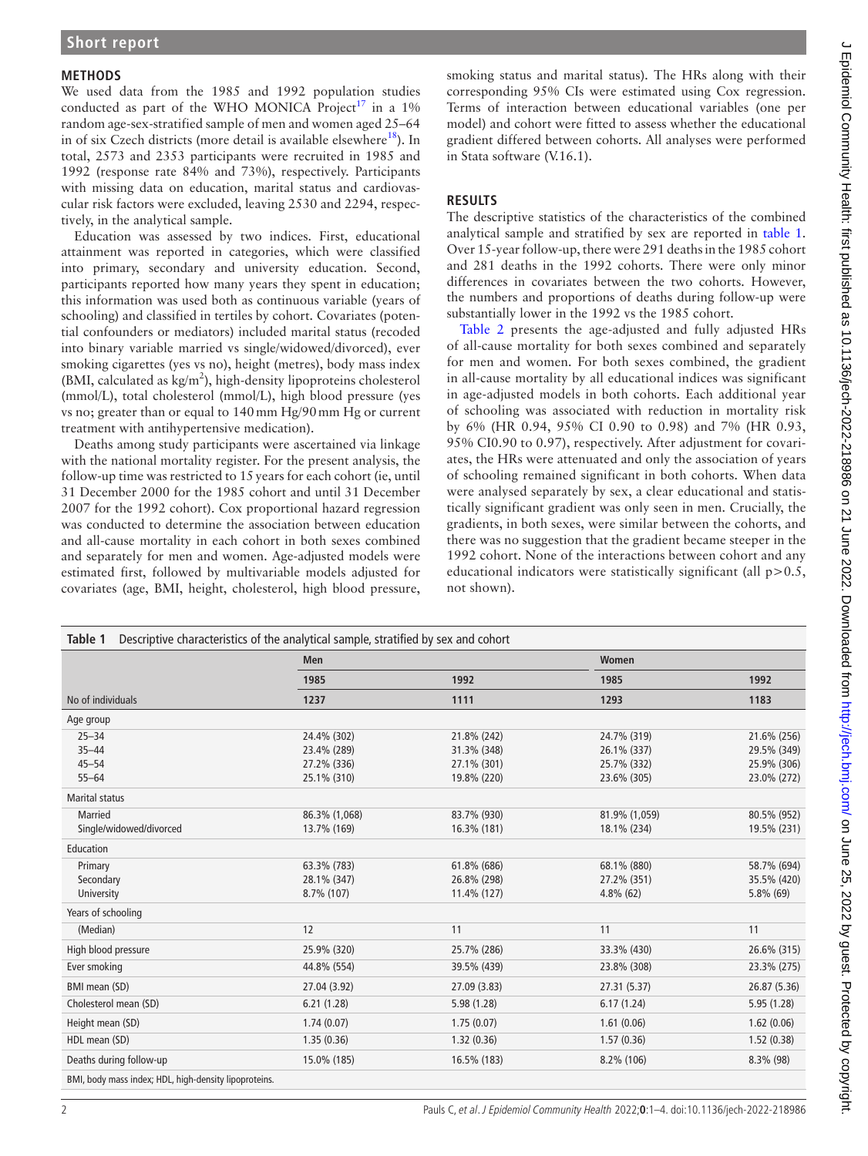#### **METHODS**

We used data from the 1985 and 1992 population studies conducted as part of the WHO MONICA Project<sup>[17](#page-3-8)</sup> in a 1% random age-sex-stratified sample of men and women aged 25–64 in of six Czech districts (more detail is available elsewhere $^{18}$ ). In total, 2573 and 2353 participants were recruited in 1985 and 1992 (response rate 84% and 73%), respectively. Participants with missing data on education, marital status and cardiovascular risk factors were excluded, leaving 2530 and 2294, respectively, in the analytical sample.

Education was assessed by two indices. First, educational attainment was reported in categories, which were classified into primary, secondary and university education. Second, participants reported how many years they spent in education; this information was used both as continuous variable (years of schooling) and classified in tertiles by cohort. Covariates (potential confounders or mediators) included marital status (recoded into binary variable married vs single/widowed/divorced), ever smoking cigarettes (yes vs no), height (metres), body mass index (BMI, calculated as  $kg/m<sup>2</sup>$ ), high-density lipoproteins cholesterol (mmol/L), total cholesterol (mmol/L), high blood pressure (yes vs no; greater than or equal to 140mm Hg/90mm Hg or current treatment with antihypertensive medication).

Deaths among study participants were ascertained via linkage with the national mortality register. For the present analysis, the follow-up time was restricted to 15years for each cohort (ie, until 31 December 2000 for the 1985 cohort and until 31 December 2007 for the 1992 cohort). Cox proportional hazard regression was conducted to determine the association between education and all-cause mortality in each cohort in both sexes combined and separately for men and women. Age-adjusted models were estimated first, followed by multivariable models adjusted for covariates (age, BMI, height, cholesterol, high blood pressure,

smoking status and marital status). The HRs along with their corresponding 95% CIs were estimated using Cox regression. Terms of interaction between educational variables (one per model) and cohort were fitted to assess whether the educational gradient differed between cohorts. All analyses were performed in Stata software (V.16.1).

# **RESULTS**

The descriptive statistics of the characteristics of the combined analytical sample and stratified by sex are reported in [table](#page-1-0) 1. Over 15-year follow-up, there were 291 deaths in the 1985 cohort and 281 deaths in the 1992 cohorts. There were only minor differences in covariates between the two cohorts. However, the numbers and proportions of deaths during follow-up were substantially lower in the 1992 vs the 1985 cohort.

[Table](#page-2-0) 2 presents the age-adjusted and fully adjusted HRs of all-cause mortality for both sexes combined and separately for men and women. For both sexes combined, the gradient in all-cause mortality by all educational indices was significant in age-adjusted models in both cohorts. Each additional year of schooling was associated with reduction in mortality risk by 6% (HR 0.94, 95% CI 0.90 to 0.98) and 7% (HR 0.93, 95% CI0.90 to 0.97), respectively. After adjustment for covariates, the HRs were attenuated and only the association of years of schooling remained significant in both cohorts. When data were analysed separately by sex, a clear educational and statistically significant gradient was only seen in men. Crucially, the gradients, in both sexes, were similar between the cohorts, and there was no suggestion that the gradient became steeper in the 1992 cohort. None of the interactions between cohort and any educational indicators were statistically significant (all  $p > 0.5$ , not shown).

<span id="page-1-0"></span>

|                                                       | <b>Men</b>    |              | Women         |              |
|-------------------------------------------------------|---------------|--------------|---------------|--------------|
|                                                       | 1985          | 1992         | 1985<br>1293  | 1992<br>1183 |
| No of individuals                                     | 1237          | 1111         |               |              |
| Age group                                             |               |              |               |              |
| $25 - 34$                                             | 24.4% (302)   | 21.8% (242)  | 24.7% (319)   | 21.6% (256)  |
| $35 - 44$                                             | 23.4% (289)   | 31.3% (348)  | 26.1% (337)   | 29.5% (349)  |
| $45 - 54$                                             | 27.2% (336)   | 27.1% (301)  | 25.7% (332)   | 25.9% (306)  |
| $55 - 64$                                             | 25.1% (310)   | 19.8% (220)  | 23.6% (305)   | 23.0% (272)  |
| <b>Marital status</b>                                 |               |              |               |              |
| <b>Married</b>                                        | 86.3% (1,068) | 83.7% (930)  | 81.9% (1,059) | 80.5% (952)  |
| Single/widowed/divorced                               | 13.7% (169)   | 16.3% (181)  | 18.1% (234)   | 19.5% (231)  |
| Education                                             |               |              |               |              |
| Primary                                               | 63.3% (783)   | 61.8% (686)  | 68.1% (880)   | 58.7% (694)  |
| Secondary                                             | 28.1% (347)   | 26.8% (298)  | 27.2% (351)   | 35.5% (420)  |
| University                                            | 8.7% (107)    | 11.4% (127)  | $4.8\%$ (62)  | $5.8\%$ (69) |
| Years of schooling                                    |               |              |               |              |
| (Median)                                              | 12            | 11           | 11            | 11           |
| High blood pressure                                   | 25.9% (320)   | 25.7% (286)  | 33.3% (430)   | 26.6% (315)  |
| Ever smoking                                          | 44.8% (554)   | 39.5% (439)  | 23.8% (308)   | 23.3% (275)  |
| BMI mean (SD)                                         | 27.04 (3.92)  | 27.09 (3.83) | 27.31 (5.37)  | 26.87 (5.36) |
| Cholesterol mean (SD)                                 | 6.21(1.28)    | 5.98(1.28)   | 6.17(1.24)    | 5.95 (1.28)  |
| Height mean (SD)                                      | 1.74(0.07)    | 1.75(0.07)   | 1.61(0.06)    | 1.62(0.06)   |
| HDL mean (SD)                                         | 1.35(0.36)    | 1.32(0.36)   | 1.57(0.36)    | 1.52(0.38)   |
| Deaths during follow-up                               | 15.0% (185)   | 16.5% (183)  | 8.2% (106)    | $8.3\%$ (98) |
| BMI, body mass index; HDL, high-density lipoproteins. |               |              |               |              |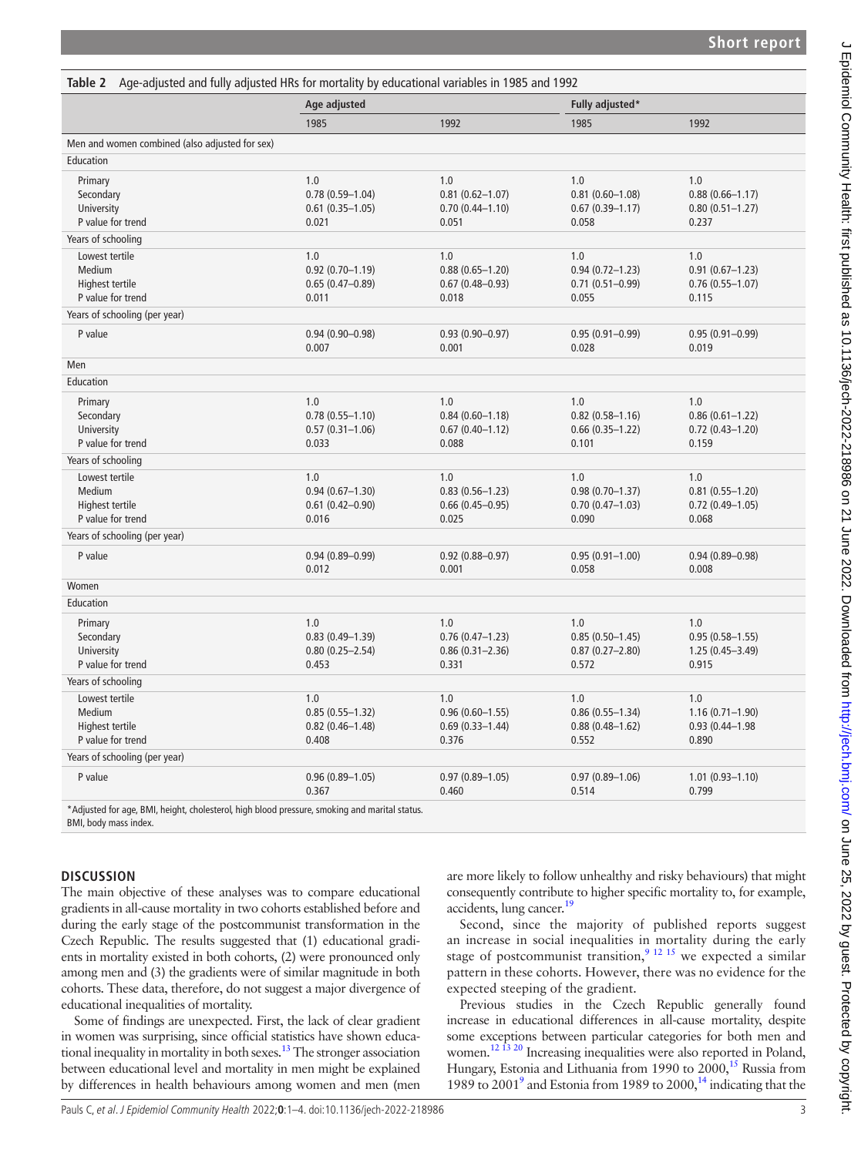<span id="page-2-0"></span>

|                                                                                                   | Age adjusted                                               |                                                            | Fully adjusted*                                            |                                                            |
|---------------------------------------------------------------------------------------------------|------------------------------------------------------------|------------------------------------------------------------|------------------------------------------------------------|------------------------------------------------------------|
|                                                                                                   | 1985                                                       | 1992                                                       | 1985                                                       | 1992                                                       |
| Men and women combined (also adjusted for sex)                                                    |                                                            |                                                            |                                                            |                                                            |
| Education                                                                                         |                                                            |                                                            |                                                            |                                                            |
| Primary<br>Secondary<br>University<br>P value for trend                                           | 1.0<br>$0.78(0.59 - 1.04)$<br>$0.61$ (0.35-1.05)<br>0.021  | 1.0<br>$0.81(0.62 - 1.07)$<br>$0.70(0.44 - 1.10)$<br>0.051 | 1.0<br>$0.81(0.60 - 1.08)$<br>$0.67(0.39 - 1.17)$<br>0.058 | 1.0<br>$0.88(0.66 - 1.17)$<br>$0.80(0.51 - 1.27)$<br>0.237 |
| Years of schooling                                                                                |                                                            |                                                            |                                                            |                                                            |
| Lowest tertile<br>Medium<br>Highest tertile<br>P value for trend<br>Years of schooling (per year) | 1.0<br>$0.92(0.70 - 1.19)$<br>$0.65(0.47-0.89)$<br>0.011   | 1.0<br>$0.88(0.65 - 1.20)$<br>$0.67(0.48 - 0.93)$<br>0.018 | 1.0<br>$0.94(0.72 - 1.23)$<br>$0.71(0.51 - 0.99)$<br>0.055 | 1.0<br>$0.91(0.67 - 1.23)$<br>$0.76(0.55 - 1.07)$<br>0.115 |
| P value                                                                                           | $0.94(0.90 - 0.98)$<br>0.007                               | $0.93(0.90 - 0.97)$<br>0.001                               | $0.95(0.91 - 0.99)$<br>0.028                               | $0.95(0.91 - 0.99)$<br>0.019                               |
| Men                                                                                               |                                                            |                                                            |                                                            |                                                            |
| Education                                                                                         |                                                            |                                                            |                                                            |                                                            |
| Primary<br>Secondary<br>University<br>P value for trend                                           | 1.0<br>$0.78(0.55 - 1.10)$<br>$0.57(0.31 - 1.06)$<br>0.033 | 1.0<br>$0.84(0.60 - 1.18)$<br>$0.67(0.40 - 1.12)$<br>0.088 | 1.0<br>$0.82$ (0.58-1.16)<br>$0.66(0.35 - 1.22)$<br>0.101  | 1.0<br>$0.86(0.61 - 1.22)$<br>$0.72$ (0.43-1.20)<br>0.159  |
| Years of schooling                                                                                |                                                            |                                                            |                                                            |                                                            |
| Lowest tertile<br>Medium<br>Highest tertile<br>P value for trend                                  | 1.0<br>$0.94(0.67 - 1.30)$<br>$0.61$ (0.42-0.90)<br>0.016  | 1.0<br>$0.83(0.56 - 1.23)$<br>$0.66(0.45 - 0.95)$<br>0.025 | 1.0<br>$0.98(0.70 - 1.37)$<br>$0.70(0.47 - 1.03)$<br>0.090 | 1.0<br>$0.81(0.55 - 1.20)$<br>$0.72$ (0.49-1.05)<br>0.068  |
| Years of schooling (per year)                                                                     |                                                            |                                                            |                                                            |                                                            |
| P value                                                                                           | $0.94(0.89 - 0.99)$<br>0.012                               | $0.92(0.88 - 0.97)$<br>0.001                               | $0.95(0.91 - 1.00)$<br>0.058                               | $0.94(0.89 - 0.98)$<br>0.008                               |
| Women                                                                                             |                                                            |                                                            |                                                            |                                                            |
| Education                                                                                         |                                                            |                                                            |                                                            |                                                            |
| Primary<br>Secondary<br>University<br>P value for trend                                           | 1.0<br>$0.83(0.49 - 1.39)$<br>$0.80(0.25 - 2.54)$<br>0.453 | 1.0<br>$0.76(0.47 - 1.23)$<br>$0.86(0.31 - 2.36)$<br>0.331 | 1.0<br>$0.85(0.50 - 1.45)$<br>$0.87(0.27 - 2.80)$<br>0.572 | 1.0<br>$0.95(0.58 - 1.55)$<br>1.25 (0.45-3.49)<br>0.915    |
| Years of schooling                                                                                |                                                            |                                                            |                                                            |                                                            |
| Lowest tertile<br>Medium<br>Highest tertile<br>P value for trend                                  | 1.0<br>$0.85(0.55 - 1.32)$<br>$0.82$ (0.46-1.48)<br>0.408  | 1.0<br>$0.96(0.60 - 1.55)$<br>$0.69(0.33 - 1.44)$<br>0.376 | 1.0<br>$0.86(0.55 - 1.34)$<br>$0.88(0.48 - 1.62)$<br>0.552 | 1.0<br>$1.16(0.71 - 1.90)$<br>$0.93(0.44 - 1.98)$<br>0.890 |
| Years of schooling (per year)                                                                     |                                                            |                                                            |                                                            |                                                            |
| P value                                                                                           | $0.96(0.89 - 1.05)$<br>0.367                               | $0.97(0.89 - 1.05)$<br>0.460                               | $0.97(0.89 - 1.06)$<br>0.514                               | $1.01(0.93 - 1.10)$<br>0.799                               |

BMI, body mass index.

# **DISCUSSION**

The main objective of these analyses was to compare educational gradients in all-cause mortality in two cohorts established before and during the early stage of the postcommunist transformation in the Czech Republic. The results suggested that (1) educational gradients in mortality existed in both cohorts, (2) were pronounced only among men and (3) the gradients were of similar magnitude in both cohorts. These data, therefore, do not suggest a major divergence of educational inequalities of mortality.

Some of findings are unexpected. First, the lack of clear gradient in women was surprising, since official statistics have shown educational inequality in mortality in both sexes.<sup>13</sup> The stronger association between educational level and mortality in men might be explained by differences in health behaviours among women and men (men

are more likely to follow unhealthy and risky behaviours) that might consequently contribute to higher specific mortality to, for example, accidents, lung cancer.<sup>[19](#page-3-10)</sup>

Second, since the majority of published reports suggest an increase in social inequalities in mortality during the early stage of postcommunist transition,<sup>9</sup> <sup>12</sup> <sup>15</sup> we expected a similar pattern in these cohorts. However, there was no evidence for the expected steeping of the gradient.

Previous studies in the Czech Republic generally found increase in educational differences in all-cause mortality, despite some exceptions between particular categories for both men and women.<sup>12 13 20</sup> Increasing inequalities were also reported in Poland, Hungary, Estonia and Lithuania from 1990 to 2000,<sup>15</sup> Russia from 1[9](#page-3-4)89 to  $2001<sup>9</sup>$  and Estonia from 1989 to  $2000<sup>14</sup>$  $2000<sup>14</sup>$  $2000<sup>14</sup>$  indicating that the